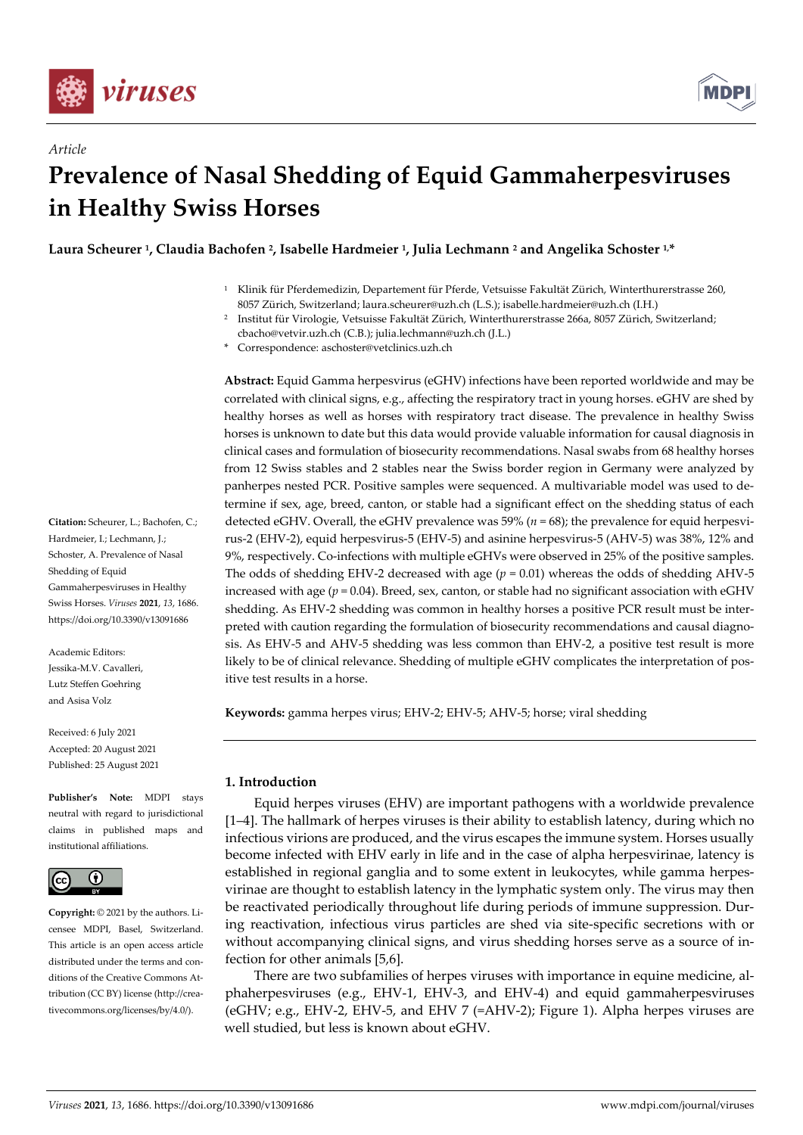

*Article*



# **Prevalence of Nasal Shedding of Equid Gammaherpesviruses in Healthy Swiss Horses**

**Laura Scheurer <sup>1</sup> , Claudia Bachofen <sup>2</sup> , Isabelle Hardmeier <sup>1</sup> , Julia Lechmann <sup>2</sup> and Angelika Schoster 1,\***

- <sup>1</sup> Klinik für Pferdemedizin, Departement für Pferde, Vetsuisse Fakultät Zürich, Winterthurerstrasse 260, 8057 Zürich, Switzerland; laura.scheurer@uzh.ch (L.S.); isabelle.hardmeier@uzh.ch (I.H.)
- <sup>2</sup> Institut für Virologie, Vetsuisse Fakultät Zürich, Winterthurerstrasse 266a, 8057 Zürich, Switzerland; cbacho@vetvir.uzh.ch (C.B.); julia.lechmann@uzh.ch (J.L.)

Correspondence: aschoster@vetclinics.uzh.ch

**Abstract:** Equid Gamma herpesvirus (eGHV) infections have been reported worldwide and may be correlated with clinical signs, e.g., affecting the respiratory tract in young horses. eGHV are shed by healthy horses as well as horses with respiratory tract disease. The prevalence in healthy Swiss horses is unknown to date but this data would provide valuable information for causal diagnosis in clinical cases and formulation of biosecurity recommendations. Nasal swabs from 68 healthy horses from 12 Swiss stables and 2 stables near the Swiss border region in Germany were analyzed by panherpes nested PCR. Positive samples were sequenced. A multivariable model was used to determine if sex, age, breed, canton, or stable had a significant effect on the shedding status of each detected eGHV. Overall, the eGHV prevalence was 59% (*n* = 68); the prevalence for equid herpesvirus-2 (EHV-2), equid herpesvirus-5 (EHV-5) and asinine herpesvirus-5 (AHV-5) was 38%, 12% and 9%, respectively. Co-infections with multiple eGHVs were observed in 25% of the positive samples. The odds of shedding EHV-2 decreased with age  $(p = 0.01)$  whereas the odds of shedding AHV-5 increased with age  $(p = 0.04)$ . Breed, sex, canton, or stable had no significant association with eGHV shedding. As EHV-2 shedding was common in healthy horses a positive PCR result must be interpreted with caution regarding the formulation of biosecurity recommendations and causal diagnosis. As EHV-5 and AHV-5 shedding was less common than EHV-2, a positive test result is more likely to be of clinical relevance. Shedding of multiple eGHV complicates the interpretation of positive test results in a horse.

**Keywords:** gamma herpes virus; EHV-2; EHV-5; AHV-5; horse; viral shedding

# **1. Introduction**

Equid herpes viruses (EHV) are important pathogens with a worldwide prevalence [1–4]. The hallmark of herpes viruses is their ability to establish latency, during which no infectious virions are produced, and the virus escapes the immune system. Horses usually become infected with EHV early in life and in the case of alpha herpesvirinae, latency is established in regional ganglia and to some extent in leukocytes, while gamma herpesvirinae are thought to establish latency in the lymphatic system only. The virus may then be reactivated periodically throughout life during periods of immune suppression. During reactivation, infectious virus particles are shed via site-specific secretions with or without accompanying clinical signs, and virus shedding horses serve as a source of infection for other animals [5,6].

There are two subfamilies of herpes viruses with importance in equine medicine, alphaherpesviruses (e.g., EHV-1, EHV-3, and EHV-4) and equid gammaherpesviruses (eGHV; e.g., EHV-2, EHV-5, and EHV 7 (=AHV-2); Figure 1). Alpha herpes viruses are well studied, but less is known about eGHV.

**Citation:** Scheurer, L.; Bachofen, C.; Hardmeier, J.; Lechmann, J.; Schoster, A. Prevalence of Nasal Shedding of Equid Gammaherpesviruses in Healthy Swiss Horses. *Viruses* **2021**, *13*, 1686. https://doi.org/10.3390/v13091686

Academic Editors: Jessika-M.V. Cavalleri, Lutz Steffen Goehring and Asisa Volz

Received: 6 July 2021 Accepted: 20 August 2021 Published: 25 August 2021

**Publisher's Note:** MDPI stays neutral with regard to jurisdictional claims in published maps and institutional affiliations.



**Copyright:** © 2021 by the authors. Licensee MDPI, Basel, Switzerland. This article is an open access article distributed under the terms and conditions of the Creative Commons Attribution (CC BY) license (http://creativecommons.org/licenses/by/4.0/).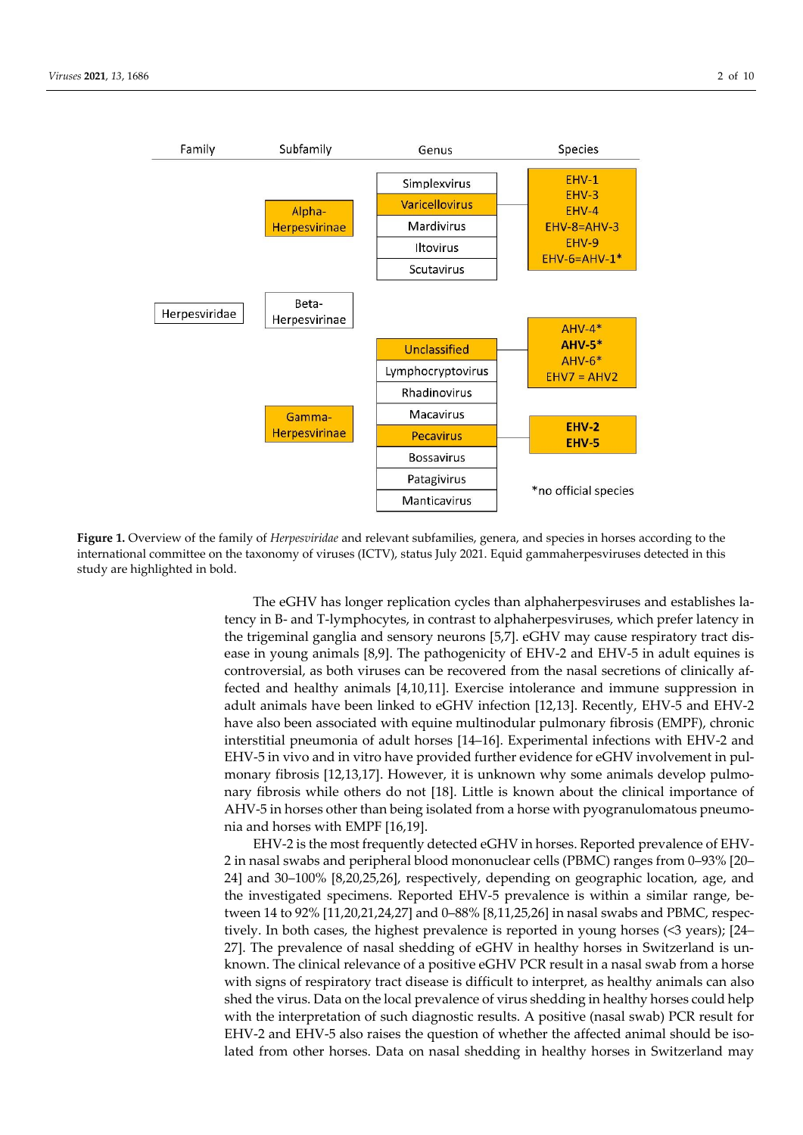

**Figure 1.** Overview of the family of *Herpesviridae* and relevant subfamilies, genera, and species in horses according to the international committee on the taxonomy of viruses (ICTV), status July 2021. Equid gammaherpesviruses detected in this study are highlighted in bold.

The eGHV has longer replication cycles than alphaherpesviruses and establishes latency in B- and T-lymphocytes, in contrast to alphaherpesviruses, which prefer latency in the trigeminal ganglia and sensory neurons [5,7]. eGHV may cause respiratory tract disease in young animals [8,9]. The pathogenicity of EHV-2 and EHV-5 in adult equines is controversial, as both viruses can be recovered from the nasal secretions of clinically affected and healthy animals [4,10,11]. Exercise intolerance and immune suppression in adult animals have been linked to eGHV infection [12,13]. Recently, EHV-5 and EHV-2 have also been associated with equine multinodular pulmonary fibrosis (EMPF), chronic interstitial pneumonia of adult horses [14–16]. Experimental infections with EHV-2 and EHV-5 in vivo and in vitro have provided further evidence for eGHV involvement in pulmonary fibrosis [12,13,17]. However, it is unknown why some animals develop pulmonary fibrosis while others do not [18]. Little is known about the clinical importance of AHV-5 in horses other than being isolated from a horse with pyogranulomatous pneumonia and horses with EMPF [16,19].

EHV-2 is the most frequently detected eGHV in horses. Reported prevalence of EHV-2 in nasal swabs and peripheral blood mononuclear cells (PBMC) ranges from 0–93% [20– 24] and 30–100% [8,20,25,26], respectively, depending on geographic location, age, and the investigated specimens. Reported EHV-5 prevalence is within a similar range, between 14 to 92% [11,20,21,24,27] and 0–88% [8,11,25,26] in nasal swabs and PBMC, respectively. In both cases, the highest prevalence is reported in young horses (<3 years); [24– 27]. The prevalence of nasal shedding of eGHV in healthy horses in Switzerland is unknown. The clinical relevance of a positive eGHV PCR result in a nasal swab from a horse with signs of respiratory tract disease is difficult to interpret, as healthy animals can also shed the virus. Data on the local prevalence of virus shedding in healthy horses could help with the interpretation of such diagnostic results. A positive (nasal swab) PCR result for EHV-2 and EHV-5 also raises the question of whether the affected animal should be isolated from other horses. Data on nasal shedding in healthy horses in Switzerland may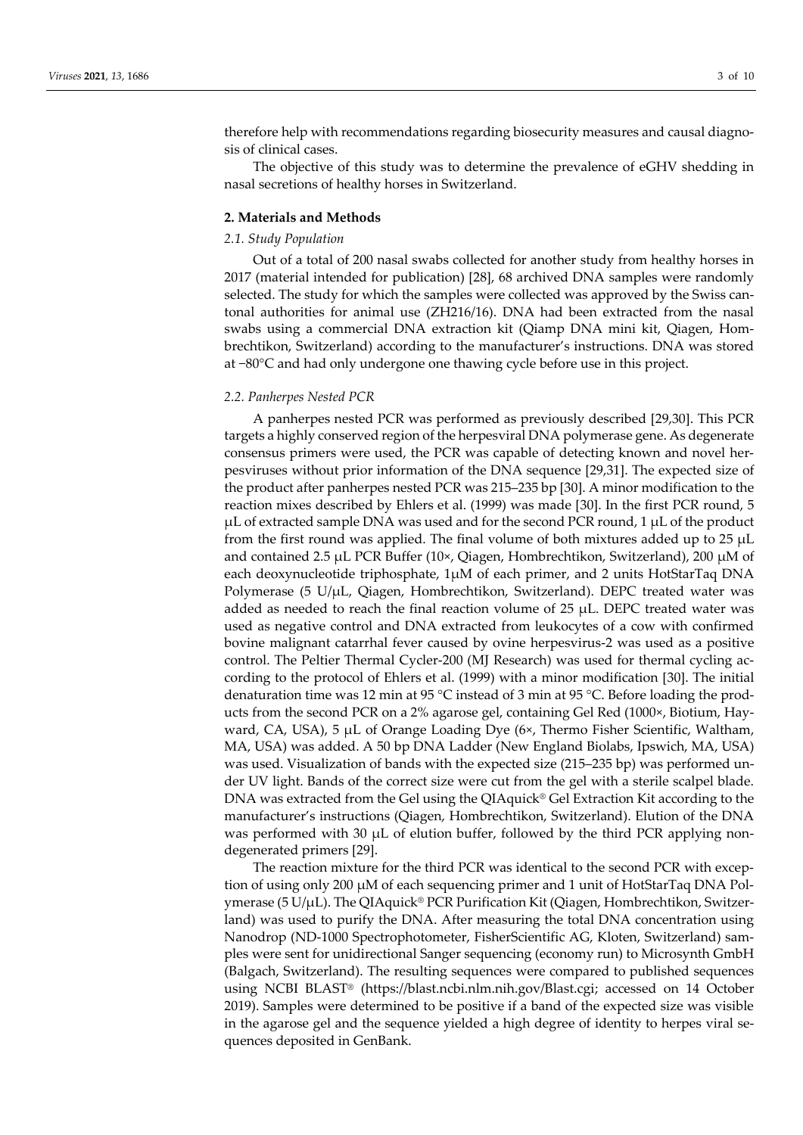therefore help with recommendations regarding biosecurity measures and causal diagnosis of clinical cases.

The objective of this study was to determine the prevalence of eGHV shedding in nasal secretions of healthy horses in Switzerland.

#### **2. Materials and Methods**

## *2.1. Study Population*

Out of a total of 200 nasal swabs collected for another study from healthy horses in 2017 (material intended for publication) [28], 68 archived DNA samples were randomly selected. The study for which the samples were collected was approved by the Swiss cantonal authorities for animal use (ZH216/16). DNA had been extracted from the nasal swabs using a commercial DNA extraction kit (Qiamp DNA mini kit, Qiagen, Hombrechtikon, Switzerland) according to the manufacturer's instructions. DNA was stored at −80°C and had only undergone one thawing cycle before use in this project.

### *2.2. Panherpes Nested PCR*

A panherpes nested PCR was performed as previously described [29,30]. This PCR targets a highly conserved region of the herpesviral DNA polymerase gene. As degenerate consensus primers were used, the PCR was capable of detecting known and novel herpesviruses without prior information of the DNA sequence [29,31]. The expected size of the product after panherpes nested PCR was 215–235 bp [30]. A minor modification to the reaction mixes described by Ehlers et al. (1999) was made [30]. In the first PCR round, 5 µL of extracted sample DNA was used and for the second PCR round, 1 µL of the product from the first round was applied. The final volume of both mixtures added up to 25 µL and contained 2.5  $\mu$ L PCR Buffer (10×, Qiagen, Hombrechtikon, Switzerland), 200  $\mu$ M of each deoxynucleotide triphosphate, 1µM of each primer, and 2 units HotStarTaq DNA Polymerase (5 U/µL, Qiagen, Hombrechtikon, Switzerland). DEPC treated water was added as needed to reach the final reaction volume of 25  $\mu$ L. DEPC treated water was used as negative control and DNA extracted from leukocytes of a cow with confirmed bovine malignant catarrhal fever caused by ovine herpesvirus-2 was used as a positive control. The Peltier Thermal Cycler-200 (MJ Research) was used for thermal cycling according to the protocol of Ehlers et al. (1999) with a minor modification [30]. The initial denaturation time was 12 min at 95 °C instead of 3 min at 95 °C. Before loading the products from the second PCR on a 2% agarose gel, containing Gel Red (1000×, Biotium, Hayward, CA, USA), 5 µL of Orange Loading Dye (6×, Thermo Fisher Scientific, Waltham, MA, USA) was added. A 50 bp DNA Ladder (New England Biolabs, Ipswich, MA, USA) was used. Visualization of bands with the expected size (215–235 bp) was performed under UV light. Bands of the correct size were cut from the gel with a sterile scalpel blade. DNA was extracted from the Gel using the QIAquick® Gel Extraction Kit according to the manufacturer's instructions (Qiagen, Hombrechtikon, Switzerland). Elution of the DNA was performed with 30  $\mu$ L of elution buffer, followed by the third PCR applying nondegenerated primers [29].

The reaction mixture for the third PCR was identical to the second PCR with exception of using only 200 µM of each sequencing primer and 1 unit of HotStarTaq DNA Polymerase (5 U/ $\mu$ L). The QIAquick® PCR Purification Kit (Qiagen, Hombrechtikon, Switzerland) was used to purify the DNA. After measuring the total DNA concentration using Nanodrop (ND-1000 Spectrophotometer, FisherScientific AG, Kloten, Switzerland) samples were sent for unidirectional Sanger sequencing (economy run) to Microsynth GmbH (Balgach, Switzerland). The resulting sequences were compared to published sequences using NCBI BLAST® (https://blast.ncbi.nlm.nih.gov/Blast.cgi; accessed on 14 October 2019). Samples were determined to be positive if a band of the expected size was visible in the agarose gel and the sequence yielded a high degree of identity to herpes viral sequences deposited in GenBank.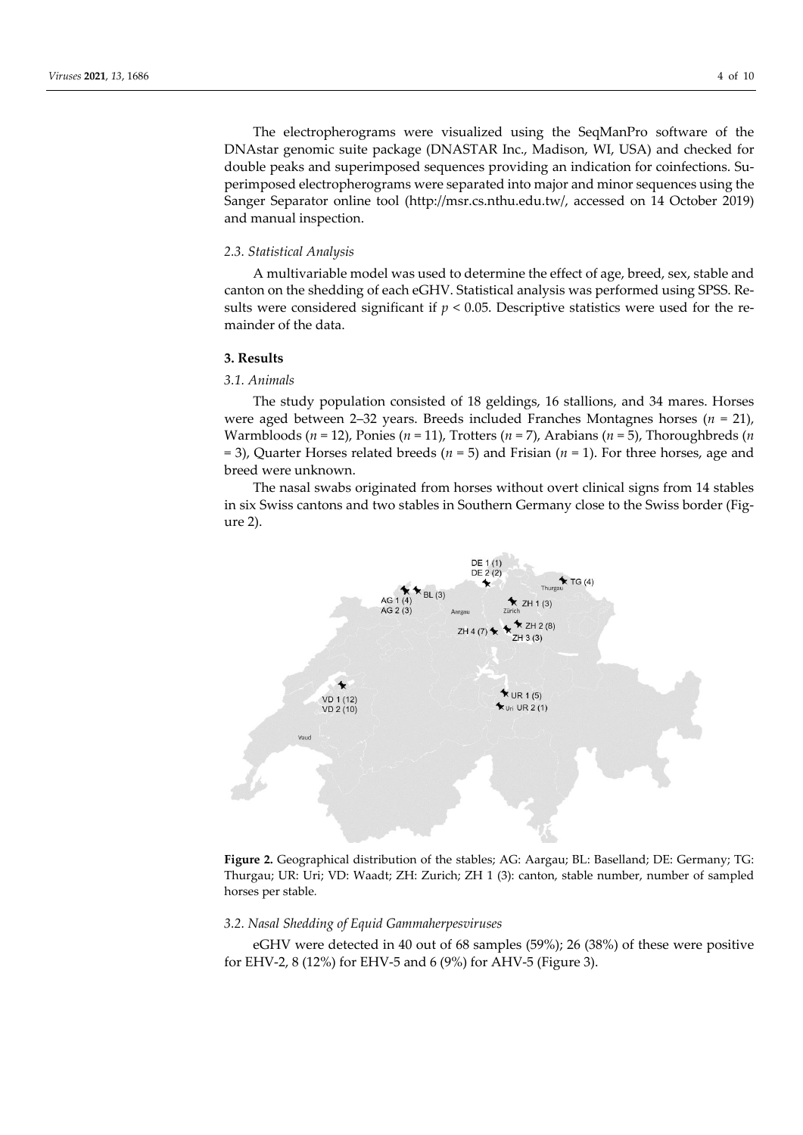The electropherograms were visualized using the SeqManPro software of the DNAstar genomic suite package (DNASTAR Inc., Madison, WI, USA) and checked for double peaks and superimposed sequences providing an indication for coinfections. Superimposed electropherograms were separated into major and minor sequences using the Sanger Separator online tool (http://msr.cs.nthu.edu.tw/, accessed on 14 October 2019) and manual inspection.

#### *2.3. Statistical Analysis*

A multivariable model was used to determine the effect of age, breed, sex, stable and canton on the shedding of each eGHV. Statistical analysis was performed using SPSS. Results were considered significant if  $p < 0.05$ . Descriptive statistics were used for the remainder of the data.

#### **3. Results**

# *3.1. Animals*

The study population consisted of 18 geldings, 16 stallions, and 34 mares. Horses were aged between 2–32 years. Breeds included Franches Montagnes horses (*n* = 21), Warmbloods (*n* = 12), Ponies (*n* = 11), Trotters (*n* = 7), Arabians (*n* = 5), Thoroughbreds (*n* = 3), Quarter Horses related breeds (*n* = 5) and Frisian (*n* = 1). For three horses, age and breed were unknown.

The nasal swabs originated from horses without overt clinical signs from 14 stables in six Swiss cantons and two stables in Southern Germany close to the Swiss border (Figure 2).



**Figure 2.** Geographical distribution of the stables; AG: Aargau; BL: Baselland; DE: Germany; TG: Thurgau; UR: Uri; VD: Waadt; ZH: Zurich; ZH 1 (3): canton, stable number, number of sampled horses per stable*.*

### *3.2. Nasal Shedding of Equid Gammaherpesviruses*

eGHV were detected in 40 out of 68 samples (59%); 26 (38%) of these were positive for EHV-2, 8 (12%) for EHV-5 and 6 (9%) for AHV-5 (Figure 3).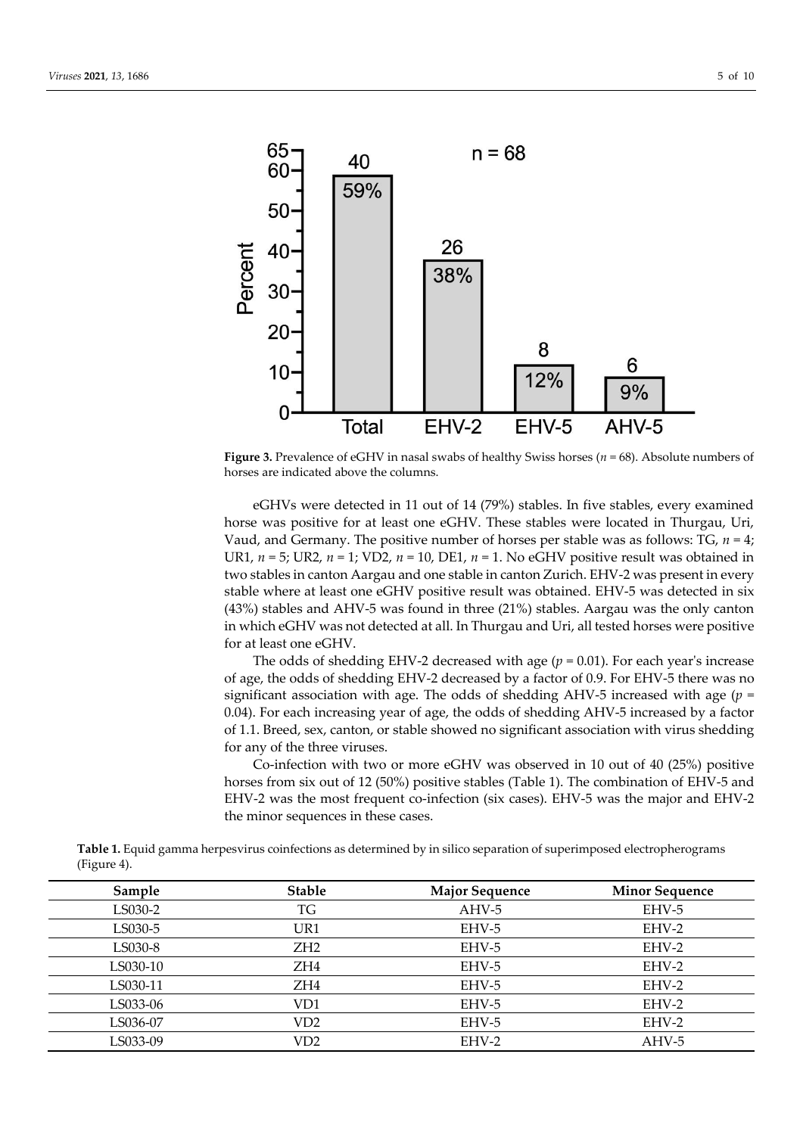

**Figure 3.** Prevalence of eGHV in nasal swabs of healthy Swiss horses (*n* = 68). Absolute numbers of horses are indicated above the columns.

eGHVs were detected in 11 out of 14 (79%) stables. In five stables, every examined horse was positive for at least one eGHV. These stables were located in Thurgau, Uri, Vaud, and Germany. The positive number of horses per stable was as follows: TG,  $n = 4$ ; UR1, *n* = 5; UR2, *n* = 1; VD2, *n* = 10, DE1, *n* = 1. No eGHV positive result was obtained in two stables in canton Aargau and one stable in canton Zurich. EHV-2 was present in every stable where at least one eGHV positive result was obtained. EHV-5 was detected in six (43%) stables and AHV-5 was found in three (21%) stables. Aargau was the only canton in which eGHV was not detected at all. In Thurgau and Uri, all tested horses were positive for at least one eGHV.

The odds of shedding EHV-2 decreased with age  $(p = 0.01)$ . For each year's increase of age, the odds of shedding EHV-2 decreased by a factor of 0.9. For EHV-5 there was no significant association with age. The odds of shedding AHV-5 increased with age  $(p =$ 0.04). For each increasing year of age, the odds of shedding AHV-5 increased by a factor of 1.1. Breed, sex, canton, or stable showed no significant association with virus shedding for any of the three viruses.

Co-infection with two or more eGHV was observed in 10 out of 40 (25%) positive horses from six out of 12 (50%) positive stables (Table 1). The combination of EHV-5 and EHV-2 was the most frequent co-infection (six cases). EHV-5 was the major and EHV-2 the minor sequences in these cases.

**Table 1.** Equid gamma herpesvirus coinfections as determined by in silico separation of superimposed electropherograms (Figure 4).

| Sample   | <b>Stable</b>   | <b>Major Sequence</b> | <b>Minor Sequence</b> |
|----------|-----------------|-----------------------|-----------------------|
| LS030-2  | TG              | AHV-5                 | EHV-5                 |
| LS030-5  | UR1             | EHV-5                 | EHV-2                 |
| LS030-8  | ZH <sub>2</sub> | EHV-5                 | EHV-2                 |
| LS030-10 | ZH <sub>4</sub> | EHV-5                 | EHV-2                 |
| LS030-11 | ZH <sub>4</sub> | EHV-5                 | EHV-2                 |
| LS033-06 | VD1             | EHV-5                 | EHV-2                 |
| LS036-07 | VD <sub>2</sub> | EHV-5                 | EHV-2                 |
| LS033-09 | VD <sub>2</sub> | EHV-2                 | AHV-5                 |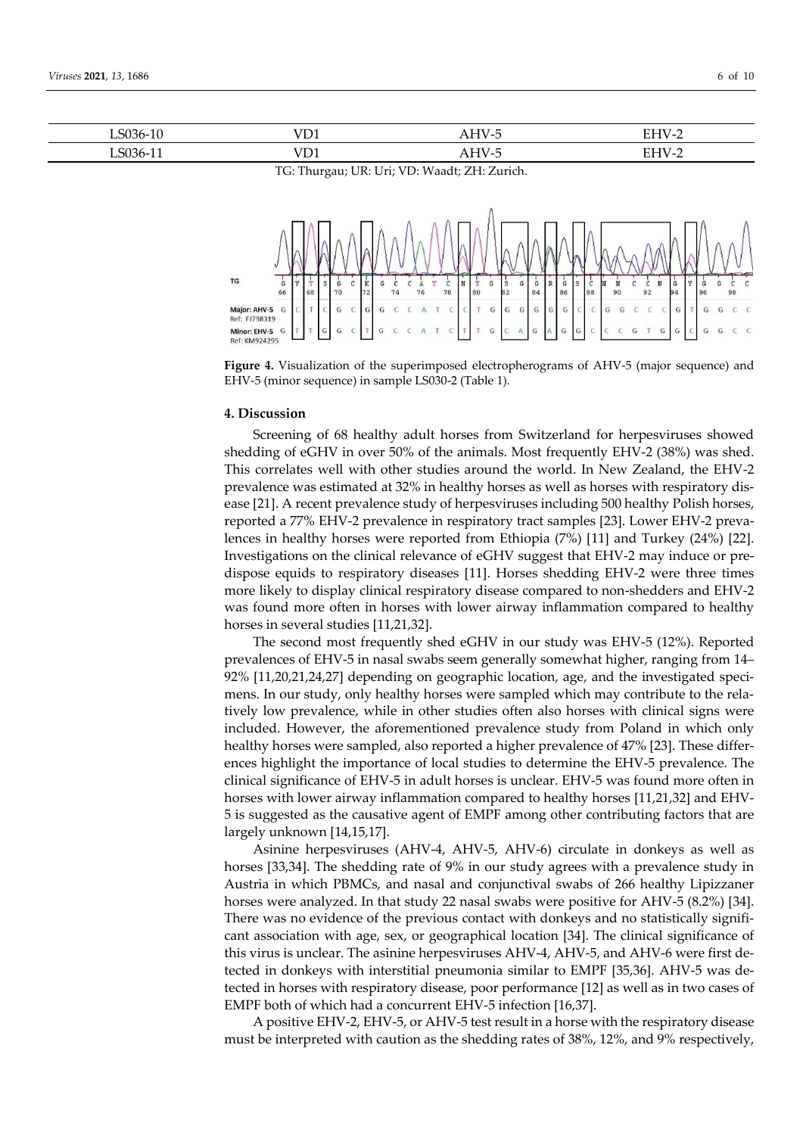| .                              | ---                                       | ┑╻  | <u>_</u>                                        |
|--------------------------------|-------------------------------------------|-----|-------------------------------------------------|
|                                |                                           |     | the contract of the contract of the contract of |
| $\overline{\phantom{a}}$<br>ъ. | <b><i><u>Part Community</u></i></b><br>ັ້ | A11 | ப<br>-                                          |

TG: Thurgau; UR: Uri; VD: Waadt; ZH: Zurich.



**Figure 4.** Visualization of the superimposed electropherograms of AHV-5 (major sequence) and EHV-5 (minor sequence) in sample LS030-2 (Table 1).

#### **4. Discussion**

Screening of 68 healthy adult horses from Switzerland for herpesviruses showed shedding of eGHV in over 50% of the animals. Most frequently EHV-2 (38%) was shed. This correlates well with other studies around the world. In New Zealand, the EHV-2 prevalence was estimated at 32% in healthy horses as well as horses with respiratory disease [21]. A recent prevalence study of herpesviruses including 500 healthy Polish horses, reported a 77% EHV-2 prevalence in respiratory tract samples [23]. Lower EHV-2 prevalences in healthy horses were reported from Ethiopia (7%) [11] and Turkey (24%) [22]. Investigations on the clinical relevance of eGHV suggest that EHV-2 may induce or predispose equids to respiratory diseases [11]. Horses shedding EHV-2 were three times more likely to display clinical respiratory disease compared to non-shedders and EHV-2 was found more often in horses with lower airway inflammation compared to healthy horses in several studies [11,21,32].

The second most frequently shed eGHV in our study was EHV-5 (12%). Reported prevalences of EHV-5 in nasal swabs seem generally somewhat higher, ranging from 14– 92% [11,20,21,24,27] depending on geographic location, age, and the investigated specimens. In our study, only healthy horses were sampled which may contribute to the relatively low prevalence, while in other studies often also horses with clinical signs were included. However, the aforementioned prevalence study from Poland in which only healthy horses were sampled, also reported a higher prevalence of 47% [23]. These differences highlight the importance of local studies to determine the EHV-5 prevalence. The clinical significance of EHV-5 in adult horses is unclear. EHV-5 was found more often in horses with lower airway inflammation compared to healthy horses [11,21,32] and EHV-5 is suggested as the causative agent of EMPF among other contributing factors that are largely unknown [14,15,17].

Asinine herpesviruses (AHV-4, AHV-5, AHV-6) circulate in donkeys as well as horses [33,34]. The shedding rate of 9% in our study agrees with a prevalence study in Austria in which PBMCs, and nasal and conjunctival swabs of 266 healthy Lipizzaner horses were analyzed. In that study 22 nasal swabs were positive for AHV-5 (8.2%) [34]. There was no evidence of the previous contact with donkeys and no statistically significant association with age, sex, or geographical location [34]. The clinical significance of this virus is unclear. The asinine herpesviruses AHV-4, AHV-5, and AHV-6 were first detected in donkeys with interstitial pneumonia similar to EMPF [35,36]. AHV-5 was detected in horses with respiratory disease, poor performance [12] as well as in two cases of EMPF both of which had a concurrent EHV-5 infection [16,37].

A positive EHV-2, EHV-5, or AHV-5 test result in a horse with the respiratory disease must be interpreted with caution as the shedding rates of 38%, 12%, and 9% respectively,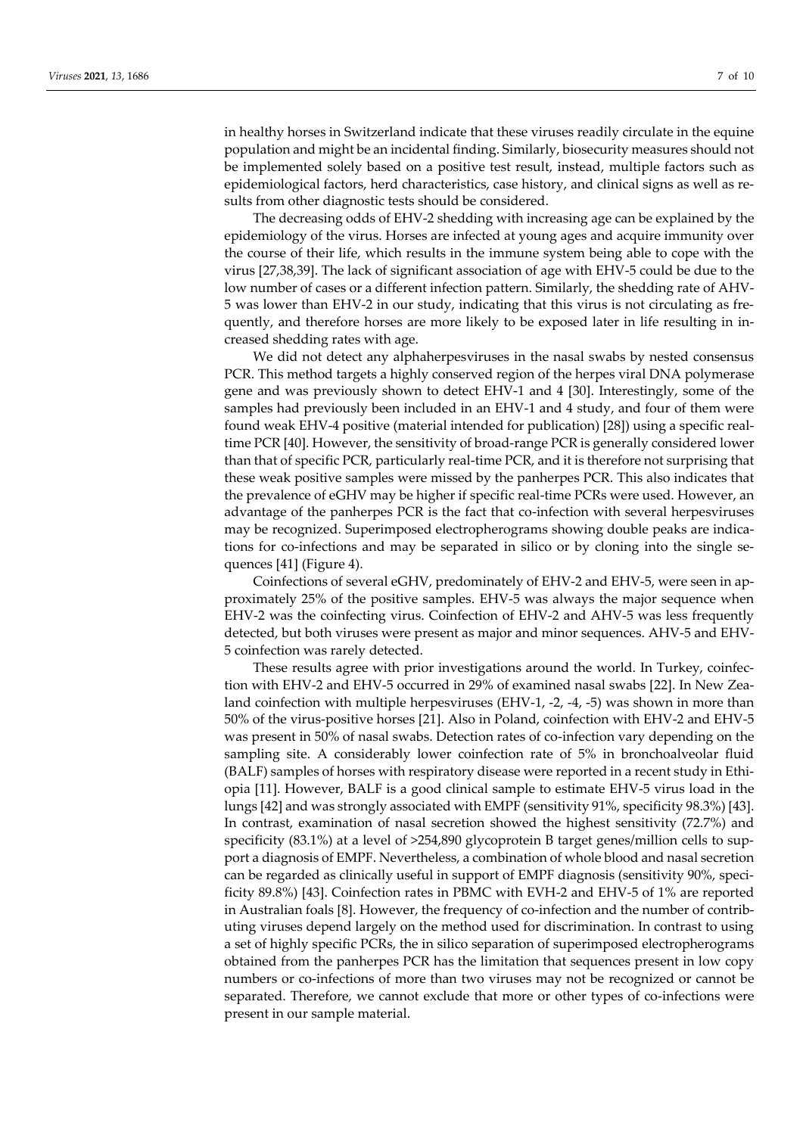in healthy horses in Switzerland indicate that these viruses readily circulate in the equine population and might be an incidental finding. Similarly, biosecurity measures should not be implemented solely based on a positive test result, instead, multiple factors such as epidemiological factors, herd characteristics, case history, and clinical signs as well as results from other diagnostic tests should be considered.

The decreasing odds of EHV-2 shedding with increasing age can be explained by the epidemiology of the virus. Horses are infected at young ages and acquire immunity over the course of their life, which results in the immune system being able to cope with the virus [27,38,39]. The lack of significant association of age with EHV-5 could be due to the low number of cases or a different infection pattern. Similarly, the shedding rate of AHV-5 was lower than EHV-2 in our study, indicating that this virus is not circulating as frequently, and therefore horses are more likely to be exposed later in life resulting in increased shedding rates with age.

We did not detect any alphaherpesviruses in the nasal swabs by nested consensus PCR. This method targets a highly conserved region of the herpes viral DNA polymerase gene and was previously shown to detect EHV-1 and 4 [30]. Interestingly, some of the samples had previously been included in an EHV-1 and 4 study, and four of them were found weak EHV-4 positive (material intended for publication) [28]) using a specific realtime PCR [40]. However, the sensitivity of broad-range PCR is generally considered lower than that of specific PCR, particularly real-time PCR, and it is therefore not surprising that these weak positive samples were missed by the panherpes PCR. This also indicates that the prevalence of eGHV may be higher if specific real-time PCRs were used. However, an advantage of the panherpes PCR is the fact that co-infection with several herpesviruses may be recognized. Superimposed electropherograms showing double peaks are indications for co-infections and may be separated in silico or by cloning into the single sequences [41] (Figure 4).

Coinfections of several eGHV, predominately of EHV-2 and EHV-5, were seen in approximately 25% of the positive samples. EHV-5 was always the major sequence when EHV-2 was the coinfecting virus. Coinfection of EHV-2 and AHV-5 was less frequently detected, but both viruses were present as major and minor sequences. AHV-5 and EHV-5 coinfection was rarely detected.

These results agree with prior investigations around the world. In Turkey, coinfection with EHV-2 and EHV-5 occurred in 29% of examined nasal swabs [22]. In New Zealand coinfection with multiple herpesviruses (EHV-1, -2, -4, -5) was shown in more than 50% of the virus-positive horses [21]. Also in Poland, coinfection with EHV-2 and EHV-5 was present in 50% of nasal swabs. Detection rates of co-infection vary depending on the sampling site. A considerably lower coinfection rate of 5% in bronchoalveolar fluid (BALF) samples of horses with respiratory disease were reported in a recent study in Ethiopia [11]. However, BALF is a good clinical sample to estimate EHV-5 virus load in the lungs [42] and was strongly associated with EMPF (sensitivity 91%, specificity 98.3%) [43]. In contrast, examination of nasal secretion showed the highest sensitivity (72.7%) and specificity (83.1%) at a level of >254,890 glycoprotein B target genes/million cells to support a diagnosis of EMPF. Nevertheless, a combination of whole blood and nasal secretion can be regarded as clinically useful in support of EMPF diagnosis (sensitivity 90%, specificity 89.8%) [43]. Coinfection rates in PBMC with EVH-2 and EHV-5 of 1% are reported in Australian foals [8]. However, the frequency of co-infection and the number of contributing viruses depend largely on the method used for discrimination. In contrast to using a set of highly specific PCRs, the in silico separation of superimposed electropherograms obtained from the panherpes PCR has the limitation that sequences present in low copy numbers or co-infections of more than two viruses may not be recognized or cannot be separated. Therefore, we cannot exclude that more or other types of co-infections were present in our sample material.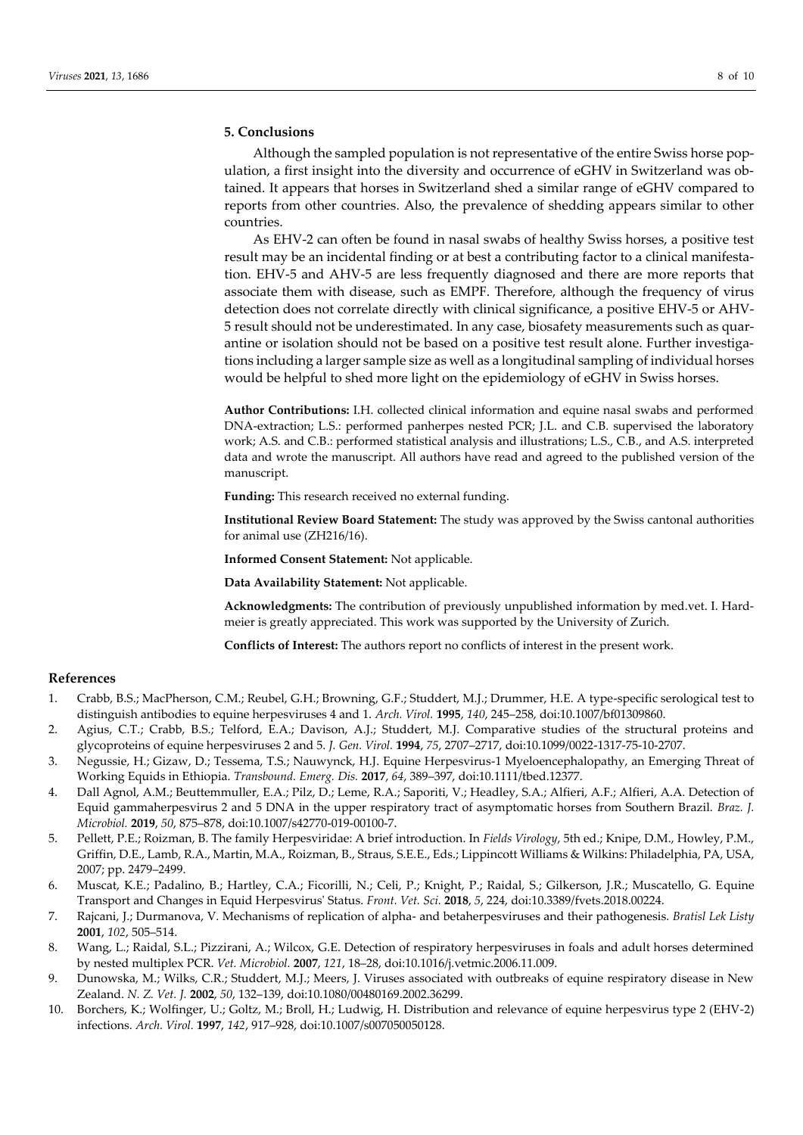### **5. Conclusions**

Although the sampled population is not representative of the entire Swiss horse population, a first insight into the diversity and occurrence of eGHV in Switzerland was obtained. It appears that horses in Switzerland shed a similar range of eGHV compared to reports from other countries. Also, the prevalence of shedding appears similar to other countries.

As EHV-2 can often be found in nasal swabs of healthy Swiss horses, a positive test result may be an incidental finding or at best a contributing factor to a clinical manifestation. EHV-5 and AHV-5 are less frequently diagnosed and there are more reports that associate them with disease, such as EMPF. Therefore, although the frequency of virus detection does not correlate directly with clinical significance, a positive EHV-5 or AHV-5 result should not be underestimated. In any case, biosafety measurements such as quarantine or isolation should not be based on a positive test result alone. Further investigations including a larger sample size as well as a longitudinal sampling of individual horses would be helpful to shed more light on the epidemiology of eGHV in Swiss horses.

**Author Contributions:** I.H. collected clinical information and equine nasal swabs and performed DNA-extraction; L.S.: performed panherpes nested PCR; J.L. and C.B. supervised the laboratory work; A.S. and C.B.: performed statistical analysis and illustrations; L.S., C.B., and A.S. interpreted data and wrote the manuscript. All authors have read and agreed to the published version of the manuscript.

**Funding:** This research received no external funding.

**Institutional Review Board Statement:** The study was approved by the Swiss cantonal authorities for animal use (ZH216/16).

**Informed Consent Statement:** Not applicable.

**Data Availability Statement:** Not applicable.

**Acknowledgments:** The contribution of previously unpublished information by med.vet. I. Hardmeier is greatly appreciated. This work was supported by the University of Zurich.

**Conflicts of Interest:** The authors report no conflicts of interest in the present work.

#### **References**

- 1. Crabb, B.S.; MacPherson, C.M.; Reubel, G.H.; Browning, G.F.; Studdert, M.J.; Drummer, H.E. A type-specific serological test to distinguish antibodies to equine herpesviruses 4 and 1. *Arch. Virol.* **1995**, *140*, 245–258, doi:10.1007/bf01309860.
- 2. Agius, C.T.; Crabb, B.S.; Telford, E.A.; Davison, A.J.; Studdert, M.J. Comparative studies of the structural proteins and glycoproteins of equine herpesviruses 2 and 5. *J. Gen. Virol.* **1994**, *75*, 2707–2717, doi:10.1099/0022-1317-75-10-2707.
- 3. Negussie, H.; Gizaw, D.; Tessema, T.S.; Nauwynck, H.J. Equine Herpesvirus-1 Myeloencephalopathy, an Emerging Threat of Working Equids in Ethiopia. *Transbound. Emerg. Dis.* **2017**, *64*, 389–397, doi:10.1111/tbed.12377.
- 4. Dall Agnol, A.M.; Beuttemmuller, E.A.; Pilz, D.; Leme, R.A.; Saporiti, V.; Headley, S.A.; Alfieri, A.F.; Alfieri, A.A. Detection of Equid gammaherpesvirus 2 and 5 DNA in the upper respiratory tract of asymptomatic horses from Southern Brazil. *Braz. J. Microbiol.* **2019**, *50*, 875–878, doi:10.1007/s42770-019-00100-7.
- 5. Pellett, P.E.; Roizman, B. The family Herpesviridae: A brief introduction. In *Fields Virology*, 5th ed.; Knipe, D.M., Howley, P.M., Griffin, D.E., Lamb, R.A., Martin, M.A., Roizman, B., Straus, S.E.E., Eds.; Lippincott Williams & Wilkins: Philadelphia, PA, USA, 2007; pp. 2479–2499.
- 6. Muscat, K.E.; Padalino, B.; Hartley, C.A.; Ficorilli, N.; Celi, P.; Knight, P.; Raidal, S.; Gilkerson, J.R.; Muscatello, G. Equine Transport and Changes in Equid Herpesvirus' Status. *Front. Vet. Sci.* **2018**, *5*, 224, doi:10.3389/fvets.2018.00224.
- 7. Rajcani, J.; Durmanova, V. Mechanisms of replication of alpha- and betaherpesviruses and their pathogenesis. *Bratisl Lek Listy*  **2001**, *102*, 505–514.
- 8. Wang, L.; Raidal, S.L.; Pizzirani, A.; Wilcox, G.E. Detection of respiratory herpesviruses in foals and adult horses determined by nested multiplex PCR. *Vet. Microbiol.* **2007**, *121*, 18–28, doi:10.1016/j.vetmic.2006.11.009.
- 9. Dunowska, M.; Wilks, C.R.; Studdert, M.J.; Meers, J. Viruses associated with outbreaks of equine respiratory disease in New Zealand. *N. Z. Vet. J.* **2002**, *50*, 132–139, doi:10.1080/00480169.2002.36299.
- 10. Borchers, K.; Wolfinger, U.; Goltz, M.; Broll, H.; Ludwig, H. Distribution and relevance of equine herpesvirus type 2 (EHV-2) infections. *Arch. Virol.* **1997**, *142*, 917–928, doi:10.1007/s007050050128.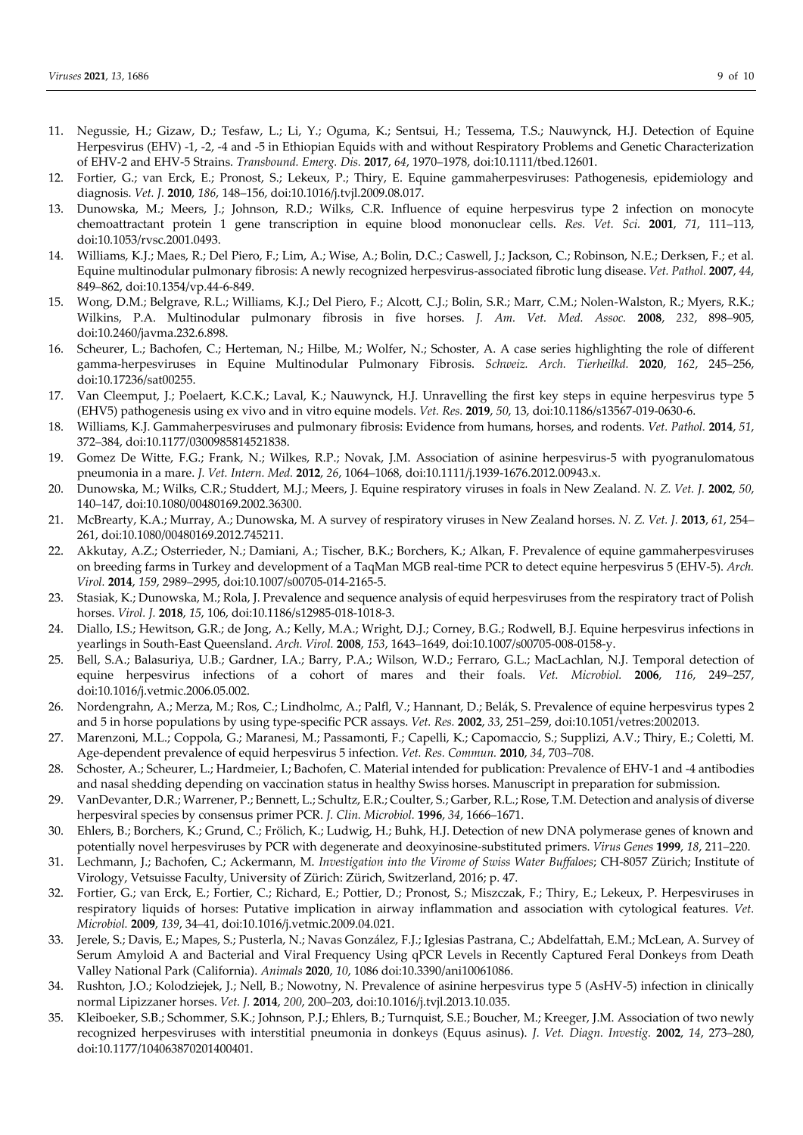- 11. Negussie, H.; Gizaw, D.; Tesfaw, L.; Li, Y.; Oguma, K.; Sentsui, H.; Tessema, T.S.; Nauwynck, H.J. Detection of Equine Herpesvirus (EHV) -1, -2, -4 and -5 in Ethiopian Equids with and without Respiratory Problems and Genetic Characterization of EHV-2 and EHV-5 Strains. *Transbound. Emerg. Dis.* **2017**, *64*, 1970–1978, doi:10.1111/tbed.12601.
- 12. Fortier, G.; van Erck, E.; Pronost, S.; Lekeux, P.; Thiry, E. Equine gammaherpesviruses: Pathogenesis, epidemiology and diagnosis. *Vet. J.* **2010**, *186*, 148–156, doi:10.1016/j.tvjl.2009.08.017.
- 13. Dunowska, M.; Meers, J.; Johnson, R.D.; Wilks, C.R. Influence of equine herpesvirus type 2 infection on monocyte chemoattractant protein 1 gene transcription in equine blood mononuclear cells. *Res. Vet. Sci.* **2001**, *71*, 111–113, doi:10.1053/rvsc.2001.0493.
- 14. Williams, K.J.; Maes, R.; Del Piero, F.; Lim, A.; Wise, A.; Bolin, D.C.; Caswell, J.; Jackson, C.; Robinson, N.E.; Derksen, F.; et al. Equine multinodular pulmonary fibrosis: A newly recognized herpesvirus-associated fibrotic lung disease. *Vet. Pathol.* **2007**, *44*, 849–862, doi:10.1354/vp.44-6-849.
- 15. Wong, D.M.; Belgrave, R.L.; Williams, K.J.; Del Piero, F.; Alcott, C.J.; Bolin, S.R.; Marr, C.M.; Nolen-Walston, R.; Myers, R.K.; Wilkins, P.A. Multinodular pulmonary fibrosis in five horses. *J. Am. Vet. Med. Assoc.* **2008**, *232*, 898–905, doi:10.2460/javma.232.6.898.
- 16. Scheurer, L.; Bachofen, C.; Herteman, N.; Hilbe, M.; Wolfer, N.; Schoster, A. A case series highlighting the role of different gamma-herpesviruses in Equine Multinodular Pulmonary Fibrosis. *Schweiz. Arch. Tierheilkd.* **2020**, *162*, 245–256, doi:10.17236/sat00255.
- 17. Van Cleemput, J.; Poelaert, K.C.K.; Laval, K.; Nauwynck, H.J. Unravelling the first key steps in equine herpesvirus type 5 (EHV5) pathogenesis using ex vivo and in vitro equine models. *Vet. Res.* **2019**, *50*, 13, doi:10.1186/s13567-019-0630-6.
- 18. Williams, K.J. Gammaherpesviruses and pulmonary fibrosis: Evidence from humans, horses, and rodents. *Vet. Pathol.* **2014**, *51*, 372–384, doi:10.1177/0300985814521838.
- 19. Gomez De Witte, F.G.; Frank, N.; Wilkes, R.P.; Novak, J.M. Association of asinine herpesvirus-5 with pyogranulomatous pneumonia in a mare. *J. Vet. Intern. Med.* **2012**, *26*, 1064–1068, doi:10.1111/j.1939-1676.2012.00943.x.
- 20. Dunowska, M.; Wilks, C.R.; Studdert, M.J.; Meers, J. Equine respiratory viruses in foals in New Zealand. *N. Z. Vet. J.* **2002**, *50*, 140–147, doi:10.1080/00480169.2002.36300.
- 21. McBrearty, K.A.; Murray, A.; Dunowska, M. A survey of respiratory viruses in New Zealand horses. *N. Z. Vet. J.* **2013**, *61*, 254– 261, doi:10.1080/00480169.2012.745211.
- 22. Akkutay, A.Z.; Osterrieder, N.; Damiani, A.; Tischer, B.K.; Borchers, K.; Alkan, F. Prevalence of equine gammaherpesviruses on breeding farms in Turkey and development of a TaqMan MGB real-time PCR to detect equine herpesvirus 5 (EHV-5). *Arch. Virol.* **2014**, *159*, 2989–2995, doi:10.1007/s00705-014-2165-5.
- 23. Stasiak, K.; Dunowska, M.; Rola, J. Prevalence and sequence analysis of equid herpesviruses from the respiratory tract of Polish horses. *Virol. J.* **2018**, *15*, 106, doi:10.1186/s12985-018-1018-3.
- 24. Diallo, I.S.; Hewitson, G.R.; de Jong, A.; Kelly, M.A.; Wright, D.J.; Corney, B.G.; Rodwell, B.J. Equine herpesvirus infections in yearlings in South-East Queensland. *Arch. Virol.* **2008**, *153*, 1643–1649, doi:10.1007/s00705-008-0158-y.
- 25. Bell, S.A.; Balasuriya, U.B.; Gardner, I.A.; Barry, P.A.; Wilson, W.D.; Ferraro, G.L.; MacLachlan, N.J. Temporal detection of equine herpesvirus infections of a cohort of mares and their foals. *Vet. Microbiol.* **2006**, *116*, 249–257, doi:10.1016/j.vetmic.2006.05.002.
- 26. Nordengrahn, A.; Merza, M.; Ros, C.; Lindholmc, A.; Palfl, V.; Hannant, D.; Belák, S. Prevalence of equine herpesvirus types 2 and 5 in horse populations by using type-specific PCR assays. *Vet. Res.* **2002**, *33*, 251–259, doi:10.1051/vetres:2002013.
- 27. Marenzoni, M.L.; Coppola, G.; Maranesi, M.; Passamonti, F.; Capelli, K.; Capomaccio, S.; Supplizi, A.V.; Thiry, E.; Coletti, M. Age-dependent prevalence of equid herpesvirus 5 infection. *Vet. Res. Commun.* **2010**, *34*, 703–708.
- 28. Schoster, A.; Scheurer, L.; Hardmeier, I.; Bachofen, C. Material intended for publication: Prevalence of EHV-1 and -4 antibodies and nasal shedding depending on vaccination status in healthy Swiss horses. Manuscript in preparation for submission.
- 29. VanDevanter, D.R.; Warrener, P.; Bennett, L.; Schultz, E.R.; Coulter, S.; Garber, R.L.; Rose, T.M. Detection and analysis of diverse herpesviral species by consensus primer PCR. *J. Clin. Microbiol.* **1996**, *34*, 1666–1671.
- 30. Ehlers, B.; Borchers, K.; Grund, C.; Frölich, K.; Ludwig, H.; Buhk, H.J. Detection of new DNA polymerase genes of known and potentially novel herpesviruses by PCR with degenerate and deoxyinosine-substituted primers. *Virus Genes* **1999**, *18*, 211–220.
- 31. Lechmann, J.; Bachofen, C.; Ackermann, M. *Investigation into the Virome of Swiss Water Buffaloes*; CH-8057 Zürich; Institute of Virology, Vetsuisse Faculty, University of Zürich: Zürich, Switzerland, 2016; p. 47.
- 32. Fortier, G.; van Erck, E.; Fortier, C.; Richard, E.; Pottier, D.; Pronost, S.; Miszczak, F.; Thiry, E.; Lekeux, P. Herpesviruses in respiratory liquids of horses: Putative implication in airway inflammation and association with cytological features. *Vet. Microbiol.* **2009**, *139*, 34–41, doi:10.1016/j.vetmic.2009.04.021.
- 33. Jerele, S.; Davis, E.; Mapes, S.; Pusterla, N.; Navas González, F.J.; Iglesias Pastrana, C.; Abdelfattah, E.M.; McLean, A. Survey of Serum Amyloid A and Bacterial and Viral Frequency Using qPCR Levels in Recently Captured Feral Donkeys from Death Valley National Park (California). *Animals* **2020**, *10*, 1086 doi:10.3390/ani10061086.
- 34. Rushton, J.O.; Kolodziejek, J.; Nell, B.; Nowotny, N. Prevalence of asinine herpesvirus type 5 (AsHV-5) infection in clinically normal Lipizzaner horses. *Vet. J.* **2014**, *200*, 200–203, doi:10.1016/j.tvjl.2013.10.035.
- 35. Kleiboeker, S.B.; Schommer, S.K.; Johnson, P.J.; Ehlers, B.; Turnquist, S.E.; Boucher, M.; Kreeger, J.M. Association of two newly recognized herpesviruses with interstitial pneumonia in donkeys (Equus asinus). *J. Vet. Diagn. Investig.* **2002**, *14*, 273–280, doi:10.1177/104063870201400401.